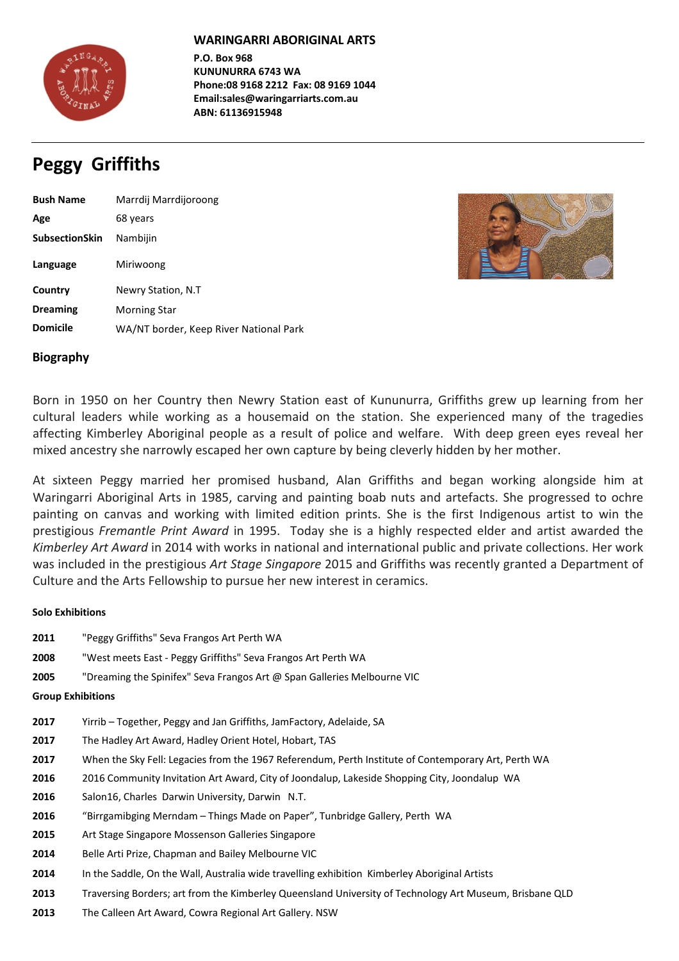

## WARINGARRI ABORIGINAL ARTS

**P.O. Box 968 KUNUNURRA 6743 WA** Phone:08 9168 2212 Fax: 08 9169 1044 **Email:sales@waringarriarts.com.au ABN: 61136915948**

# **Peggy Griffiths**

| <b>Bush Name</b>      | Marrdij Marrdijoroong                  |
|-----------------------|----------------------------------------|
| Age                   | 68 years                               |
| <b>SubsectionSkin</b> | Nambijin                               |
| Language              | Miriwoong                              |
| Country               | Newry Station, N.T                     |
| <b>Dreaming</b>       | <b>Morning Star</b>                    |
| <b>Domicile</b>       | WA/NT border, Keep River National Park |



## **Biography**

Born in 1950 on her Country then Newry Station east of Kununurra, Griffiths grew up learning from her cultural leaders while working as a housemaid on the station. She experienced many of the tragedies affecting Kimberley Aboriginal people as a result of police and welfare. With deep green eyes reveal her mixed ancestry she narrowly escaped her own capture by being cleverly hidden by her mother.

At sixteen Peggy married her promised husband, Alan Griffiths and began working alongside him at Waringarri Aboriginal Arts in 1985, carving and painting boab nuts and artefacts. She progressed to ochre painting on canvas and working with limited edition prints. She is the first Indigenous artist to win the prestigious *Fremantle Print Award* in 1995. Today she is a highly respected elder and artist awarded the *Kimberley Art Award* in 2014 with works in national and international public and private collections. Her work was included in the prestigious Art Stage Singapore 2015 and Griffiths was recently granted a Department of Culture and the Arts Fellowship to pursue her new interest in ceramics.

## **Solo Exhibitions**

- **2011** "Peggy Griffiths" Seva Frangos Art Perth WA
- **2008** "West meets East Peggy Griffiths" Seva Frangos Art Perth WA
- **2005** "Dreaming the Spinifex" Seva Frangos Art @ Span Galleries Melbourne VIC

## **Group Exhibitions**

- **2017** Yirrib Together, Peggy and Jan Griffiths, JamFactory, Adelaide, SA
- **2017** The Hadley Art Award, Hadley Orient Hotel, Hobart, TAS
- **2017** When the Sky Fell: Legacies from the 1967 Referendum, Perth Institute of Contemporary Art, Perth WA
- **2016** 2016 Community Invitation Art Award, City of Joondalup, Lakeside Shopping City, Joondalup WA
- **2016** Salon16, Charles Darwin University, Darwin N.T.
- **2016** "Birrgamibging Merndam Things Made on Paper", Tunbridge Gallery, Perth WA
- **2015** Art Stage Singapore Mossenson Galleries Singapore
- **2014** Belle Arti Prize, Chapman and Bailey Melbourne VIC
- **2014** In the Saddle, On the Wall, Australia wide travelling exhibition Kimberley Aboriginal Artists
- **2013** Traversing Borders; art from the Kimberley Queensland University of Technology Art Museum, Brisbane QLD
- **2013** The Calleen Art Award, Cowra Regional Art Gallery. NSW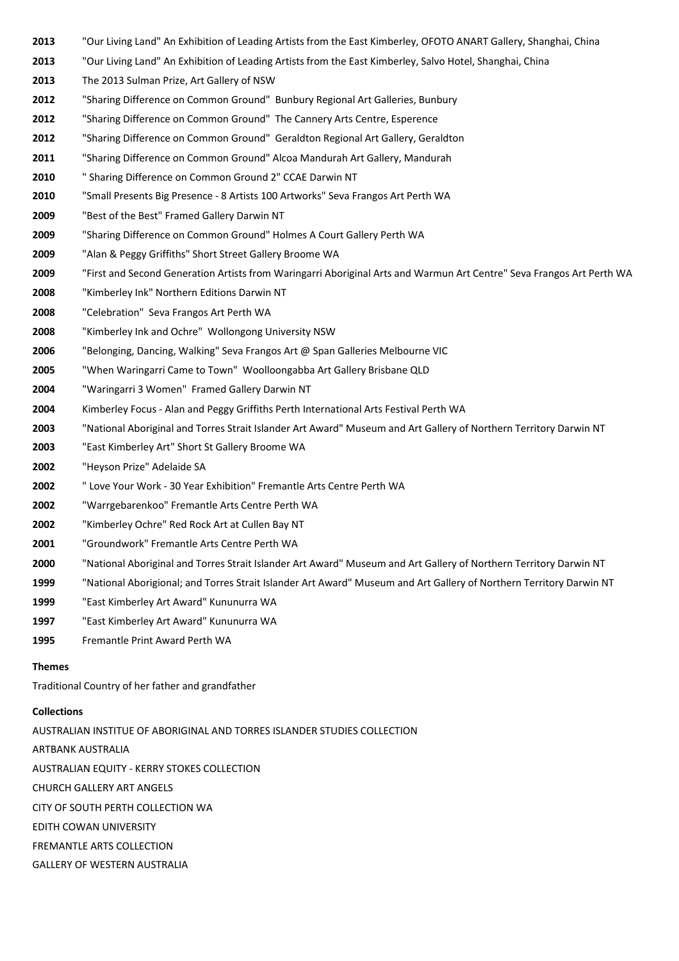- "Our Living Land" An Exhibition of Leading Artists from the East Kimberley, OFOTO ANART Gallery, Shanghai, China
- "Our Living Land" An Exhibition of Leading Artists from the East Kimberley, Salvo Hotel, Shanghai, China
- The 2013 Sulman Prize, Art Gallery of NSW
- "Sharing Difference on Common Ground" Bunbury Regional Art Galleries, Bunbury
- "Sharing Difference on Common Ground" The Cannery Arts Centre, Esperence
- "Sharing Difference on Common Ground" Geraldton Regional Art Gallery, Geraldton
- "Sharing Difference on Common Ground" Alcoa Mandurah Art Gallery, Mandurah
- " Sharing Difference on Common Ground 2" CCAE Darwin NT
- "Small Presents Big Presence 8 Artists 100 Artworks" Seva Frangos Art Perth WA
- "Best of the Best" Framed Gallery Darwin NT
- "Sharing Difference on Common Ground" Holmes A Court Gallery Perth WA
- "Alan & Peggy Griffiths" Short Street Gallery Broome WA
- "First and Second Generation Artists from Waringarri Aboriginal Arts and Warmun Art Centre" Seva Frangos Art Perth WA
- "Kimberley Ink" Northern Editions Darwin NT
- "Celebration" Seva Frangos Art Perth WA
- "Kimberley Ink and Ochre" Wollongong University NSW
- "Belonging, Dancing, Walking" Seva Frangos Art @ Span Galleries Melbourne VIC
- "When Waringarri Came to Town" Woolloongabba Art Gallery Brisbane QLD
- "Waringarri 3 Women" Framed Gallery Darwin NT
- Kimberley Focus Alan and Peggy Griffiths Perth International Arts Festival Perth WA
- "National Aboriginal and Torres Strait Islander Art Award" Museum and Art Gallery of Northern Territory Darwin NT
- "East Kimberley Art" Short St Gallery Broome WA
- "Heyson Prize" Adelaide SA
- " Love Your Work 30 Year Exhibition" Fremantle Arts Centre Perth WA
- "Warrgebarenkoo" Fremantle Arts Centre Perth WA
- "Kimberley Ochre" Red Rock Art at Cullen Bay NT
- "Groundwork" Fremantle Arts Centre Perth WA
- "National Aboriginal and Torres Strait Islander Art Award" Museum and Art Gallery of Northern Territory Darwin NT
- "National Aborigional; and Torres Strait Islander Art Award" Museum and Art Gallery of Northern Territory Darwin NT
- "East Kimberley Art Award" Kununurra WA
- 1997 "East Kimberley Art Award" Kununurra WA
- Fremantle Print Award Perth WA

#### **Themes**

Traditional Country of her father and grandfather

#### **Collections**

AUSTRALIAN INSTITUE OF ABORIGINAL AND TORRES ISLANDER STUDIES COLLECTION ARTBANK AUSTRALIA AUSTRALIAN EQUITY - KERRY STOKES COLLECTION **CHURCH GALLERY ART ANGELS** CITY OF SOUTH PERTH COLLECTION WA **EDITH COWAN UNIVERSITY** FREMANTLE ARTS COLLECTION

**GALLERY OF WESTERN AUSTRALIA**